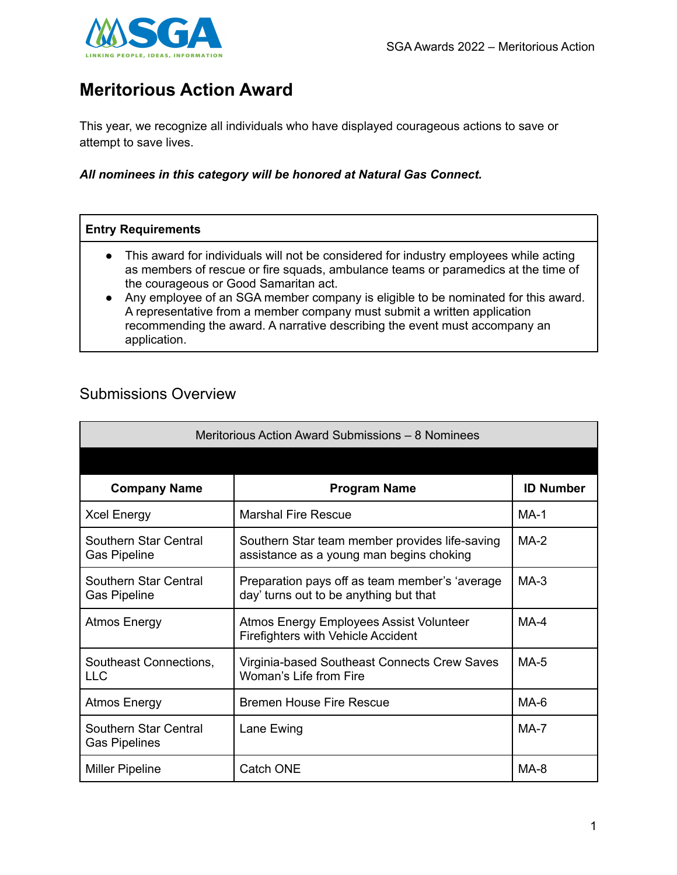

## **Meritorious Action Award**

This year, we recognize all individuals who have displayed courageous actions to save or attempt to save lives.

*All nominees in this category will be honored at Natural Gas Connect.*

## **Entry Requirements** • This award for individuals will not be considered for industry employees while acting as members of rescue or fire squads, ambulance teams or paramedics at the time of the courageous or Good Samaritan act. ● Any employee of an SGA member company is eligible to be nominated for this award. A representative from a member company must submit a written application recommending the award. A narrative describing the event must accompany an application.

## Submissions Overview

| Meritorious Action Award Submissions – 8 Nominees |                                                                                            |                  |
|---------------------------------------------------|--------------------------------------------------------------------------------------------|------------------|
|                                                   |                                                                                            |                  |
| <b>Company Name</b>                               | <b>Program Name</b>                                                                        | <b>ID Number</b> |
| <b>Xcel Energy</b>                                | <b>Marshal Fire Rescue</b>                                                                 | $MA-1$           |
| Southern Star Central<br><b>Gas Pipeline</b>      | Southern Star team member provides life-saving<br>assistance as a young man begins choking | $MA-2$           |
| Southern Star Central<br><b>Gas Pipeline</b>      | Preparation pays off as team member's 'average<br>day' turns out to be anything but that   | $MA-3$           |
| <b>Atmos Energy</b>                               | Atmos Energy Employees Assist Volunteer<br>Firefighters with Vehicle Accident              | $MA-4$           |
| Southeast Connections,<br><b>LLC</b>              | Virginia-based Southeast Connects Crew Saves<br>Woman's Life from Fire                     | $MA-5$           |
| <b>Atmos Energy</b>                               | <b>Bremen House Fire Rescue</b>                                                            | $MA-6$           |
| Southern Star Central<br><b>Gas Pipelines</b>     | Lane Ewing                                                                                 | $MA-7$           |
| <b>Miller Pipeline</b>                            | Catch ONE                                                                                  | $MA-8$           |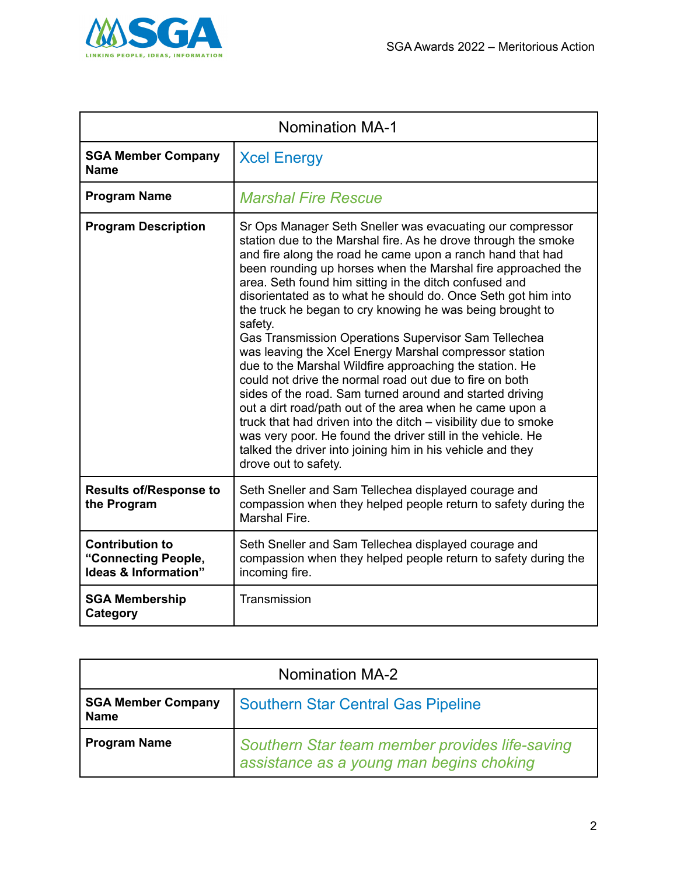

| <b>Nomination MA-1</b>                                                |                                                                                                                                                                                                                                                                                                                                                                                                                                                                                                                                                                                                                                                                                                                                                                                                                                                                                                                                                                                                                                                     |
|-----------------------------------------------------------------------|-----------------------------------------------------------------------------------------------------------------------------------------------------------------------------------------------------------------------------------------------------------------------------------------------------------------------------------------------------------------------------------------------------------------------------------------------------------------------------------------------------------------------------------------------------------------------------------------------------------------------------------------------------------------------------------------------------------------------------------------------------------------------------------------------------------------------------------------------------------------------------------------------------------------------------------------------------------------------------------------------------------------------------------------------------|
| <b>SGA Member Company</b><br><b>Name</b>                              | <b>Xcel Energy</b>                                                                                                                                                                                                                                                                                                                                                                                                                                                                                                                                                                                                                                                                                                                                                                                                                                                                                                                                                                                                                                  |
| <b>Program Name</b>                                                   | <b>Marshal Fire Rescue</b>                                                                                                                                                                                                                                                                                                                                                                                                                                                                                                                                                                                                                                                                                                                                                                                                                                                                                                                                                                                                                          |
| <b>Program Description</b>                                            | Sr Ops Manager Seth Sneller was evacuating our compressor<br>station due to the Marshal fire. As he drove through the smoke<br>and fire along the road he came upon a ranch hand that had<br>been rounding up horses when the Marshal fire approached the<br>area. Seth found him sitting in the ditch confused and<br>disorientated as to what he should do. Once Seth got him into<br>the truck he began to cry knowing he was being brought to<br>safety.<br>Gas Transmission Operations Supervisor Sam Tellechea<br>was leaving the Xcel Energy Marshal compressor station<br>due to the Marshal Wildfire approaching the station. He<br>could not drive the normal road out due to fire on both<br>sides of the road. Sam turned around and started driving<br>out a dirt road/path out of the area when he came upon a<br>truck that had driven into the ditch - visibility due to smoke<br>was very poor. He found the driver still in the vehicle. He<br>talked the driver into joining him in his vehicle and they<br>drove out to safety. |
| <b>Results of/Response to</b><br>the Program                          | Seth Sneller and Sam Tellechea displayed courage and<br>compassion when they helped people return to safety during the<br>Marshal Fire.                                                                                                                                                                                                                                                                                                                                                                                                                                                                                                                                                                                                                                                                                                                                                                                                                                                                                                             |
| <b>Contribution to</b><br>"Connecting People,<br>Ideas & Information" | Seth Sneller and Sam Tellechea displayed courage and<br>compassion when they helped people return to safety during the<br>incoming fire.                                                                                                                                                                                                                                                                                                                                                                                                                                                                                                                                                                                                                                                                                                                                                                                                                                                                                                            |
| <b>SGA Membership</b><br>Category                                     | Transmission                                                                                                                                                                                                                                                                                                                                                                                                                                                                                                                                                                                                                                                                                                                                                                                                                                                                                                                                                                                                                                        |

| <b>Nomination MA-2</b>                   |                                                                                            |
|------------------------------------------|--------------------------------------------------------------------------------------------|
| <b>SGA Member Company</b><br><b>Name</b> | <b>Southern Star Central Gas Pipeline</b>                                                  |
| <b>Program Name</b>                      | Southern Star team member provides life-saving<br>assistance as a young man begins choking |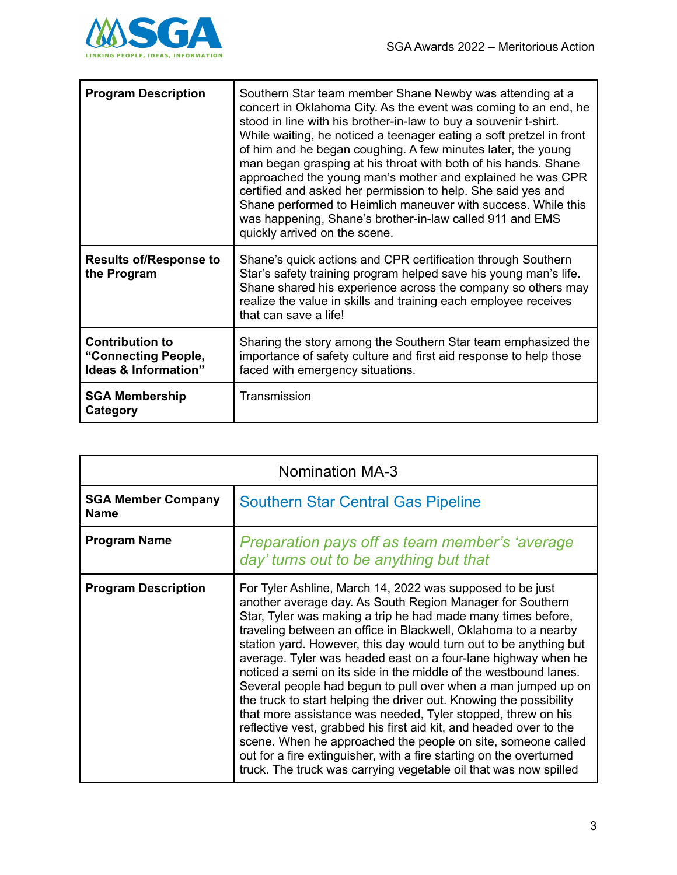

| <b>Program Description</b>                                                       | Southern Star team member Shane Newby was attending at a<br>concert in Oklahoma City. As the event was coming to an end, he<br>stood in line with his brother-in-law to buy a souvenir t-shirt.<br>While waiting, he noticed a teenager eating a soft pretzel in front<br>of him and he began coughing. A few minutes later, the young<br>man began grasping at his throat with both of his hands. Shane<br>approached the young man's mother and explained he was CPR<br>certified and asked her permission to help. She said yes and<br>Shane performed to Heimlich maneuver with success. While this<br>was happening, Shane's brother-in-law called 911 and EMS<br>quickly arrived on the scene. |
|----------------------------------------------------------------------------------|------------------------------------------------------------------------------------------------------------------------------------------------------------------------------------------------------------------------------------------------------------------------------------------------------------------------------------------------------------------------------------------------------------------------------------------------------------------------------------------------------------------------------------------------------------------------------------------------------------------------------------------------------------------------------------------------------|
| <b>Results of/Response to</b><br>the Program                                     | Shane's quick actions and CPR certification through Southern<br>Star's safety training program helped save his young man's life.<br>Shane shared his experience across the company so others may<br>realize the value in skills and training each employee receives<br>that can save a life!                                                                                                                                                                                                                                                                                                                                                                                                         |
| <b>Contribution to</b><br>"Connecting People,<br><b>Ideas &amp; Information"</b> | Sharing the story among the Southern Star team emphasized the<br>importance of safety culture and first aid response to help those<br>faced with emergency situations.                                                                                                                                                                                                                                                                                                                                                                                                                                                                                                                               |
| <b>SGA Membership</b><br>Category                                                | Transmission                                                                                                                                                                                                                                                                                                                                                                                                                                                                                                                                                                                                                                                                                         |

| <b>Nomination MA-3</b>                   |                                                                                                                                                                                                                                                                                                                                                                                                                                                                                                                                                                                                                                                                                                                                                                                                                                                                                                                                                            |
|------------------------------------------|------------------------------------------------------------------------------------------------------------------------------------------------------------------------------------------------------------------------------------------------------------------------------------------------------------------------------------------------------------------------------------------------------------------------------------------------------------------------------------------------------------------------------------------------------------------------------------------------------------------------------------------------------------------------------------------------------------------------------------------------------------------------------------------------------------------------------------------------------------------------------------------------------------------------------------------------------------|
| <b>SGA Member Company</b><br><b>Name</b> | <b>Southern Star Central Gas Pipeline</b>                                                                                                                                                                                                                                                                                                                                                                                                                                                                                                                                                                                                                                                                                                                                                                                                                                                                                                                  |
| <b>Program Name</b>                      | Preparation pays off as team member's 'average<br>day' turns out to be anything but that                                                                                                                                                                                                                                                                                                                                                                                                                                                                                                                                                                                                                                                                                                                                                                                                                                                                   |
| <b>Program Description</b>               | For Tyler Ashline, March 14, 2022 was supposed to be just<br>another average day. As South Region Manager for Southern<br>Star, Tyler was making a trip he had made many times before,<br>traveling between an office in Blackwell, Oklahoma to a nearby<br>station yard. However, this day would turn out to be anything but<br>average. Tyler was headed east on a four-lane highway when he<br>noticed a semi on its side in the middle of the westbound lanes.<br>Several people had begun to pull over when a man jumped up on<br>the truck to start helping the driver out. Knowing the possibility<br>that more assistance was needed, Tyler stopped, threw on his<br>reflective vest, grabbed his first aid kit, and headed over to the<br>scene. When he approached the people on site, someone called<br>out for a fire extinguisher, with a fire starting on the overturned<br>truck. The truck was carrying vegetable oil that was now spilled |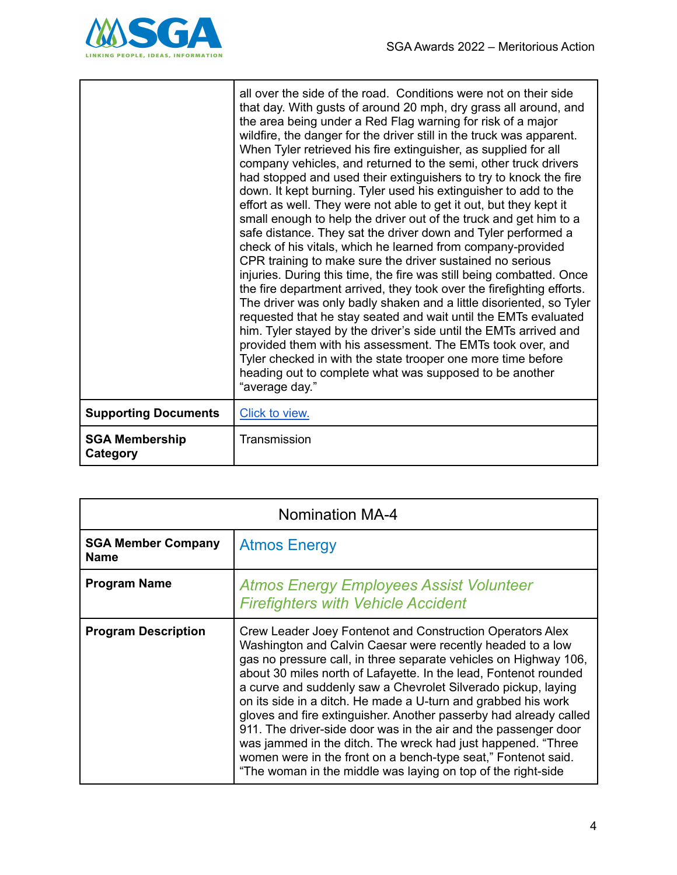

|                                   | all over the side of the road. Conditions were not on their side<br>that day. With gusts of around 20 mph, dry grass all around, and<br>the area being under a Red Flag warning for risk of a major<br>wildfire, the danger for the driver still in the truck was apparent.<br>When Tyler retrieved his fire extinguisher, as supplied for all<br>company vehicles, and returned to the semi, other truck drivers<br>had stopped and used their extinguishers to try to knock the fire<br>down. It kept burning. Tyler used his extinguisher to add to the<br>effort as well. They were not able to get it out, but they kept it<br>small enough to help the driver out of the truck and get him to a<br>safe distance. They sat the driver down and Tyler performed a<br>check of his vitals, which he learned from company-provided<br>CPR training to make sure the driver sustained no serious<br>injuries. During this time, the fire was still being combatted. Once<br>the fire department arrived, they took over the firefighting efforts.<br>The driver was only badly shaken and a little disoriented, so Tyler<br>requested that he stay seated and wait until the EMTs evaluated<br>him. Tyler stayed by the driver's side until the EMTs arrived and<br>provided them with his assessment. The EMTs took over, and<br>Tyler checked in with the state trooper one more time before<br>heading out to complete what was supposed to be another<br>"average day." |
|-----------------------------------|-------------------------------------------------------------------------------------------------------------------------------------------------------------------------------------------------------------------------------------------------------------------------------------------------------------------------------------------------------------------------------------------------------------------------------------------------------------------------------------------------------------------------------------------------------------------------------------------------------------------------------------------------------------------------------------------------------------------------------------------------------------------------------------------------------------------------------------------------------------------------------------------------------------------------------------------------------------------------------------------------------------------------------------------------------------------------------------------------------------------------------------------------------------------------------------------------------------------------------------------------------------------------------------------------------------------------------------------------------------------------------------------------------------------------------------------------------------------------------|
| <b>Supporting Documents</b>       | Click to view.                                                                                                                                                                                                                                                                                                                                                                                                                                                                                                                                                                                                                                                                                                                                                                                                                                                                                                                                                                                                                                                                                                                                                                                                                                                                                                                                                                                                                                                                |
| <b>SGA Membership</b><br>Category | Transmission                                                                                                                                                                                                                                                                                                                                                                                                                                                                                                                                                                                                                                                                                                                                                                                                                                                                                                                                                                                                                                                                                                                                                                                                                                                                                                                                                                                                                                                                  |

| <b>Nomination MA-4</b>                   |                                                                                                                                                                                                                                                                                                                                                                                                                                                                                                                                                                                                                                                                                                                                            |
|------------------------------------------|--------------------------------------------------------------------------------------------------------------------------------------------------------------------------------------------------------------------------------------------------------------------------------------------------------------------------------------------------------------------------------------------------------------------------------------------------------------------------------------------------------------------------------------------------------------------------------------------------------------------------------------------------------------------------------------------------------------------------------------------|
| <b>SGA Member Company</b><br><b>Name</b> | <b>Atmos Energy</b>                                                                                                                                                                                                                                                                                                                                                                                                                                                                                                                                                                                                                                                                                                                        |
| <b>Program Name</b>                      | <b>Atmos Energy Employees Assist Volunteer</b><br><b>Firefighters with Vehicle Accident</b>                                                                                                                                                                                                                                                                                                                                                                                                                                                                                                                                                                                                                                                |
| <b>Program Description</b>               | Crew Leader Joey Fontenot and Construction Operators Alex<br>Washington and Calvin Caesar were recently headed to a low<br>gas no pressure call, in three separate vehicles on Highway 106,<br>about 30 miles north of Lafayette. In the lead, Fontenot rounded<br>a curve and suddenly saw a Chevrolet Silverado pickup, laying<br>on its side in a ditch. He made a U-turn and grabbed his work<br>gloves and fire extinguisher. Another passerby had already called<br>911. The driver-side door was in the air and the passenger door<br>was jammed in the ditch. The wreck had just happened. "Three<br>women were in the front on a bench-type seat," Fontenot said.<br>"The woman in the middle was laying on top of the right-side |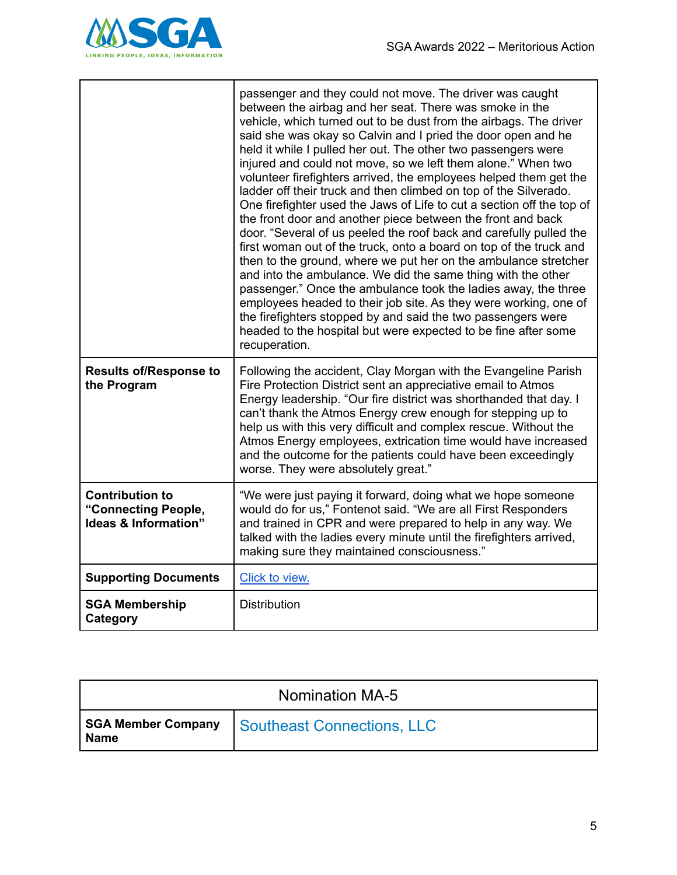

|                                                                       | passenger and they could not move. The driver was caught<br>between the airbag and her seat. There was smoke in the<br>vehicle, which turned out to be dust from the airbags. The driver<br>said she was okay so Calvin and I pried the door open and he<br>held it while I pulled her out. The other two passengers were<br>injured and could not move, so we left them alone." When two<br>volunteer firefighters arrived, the employees helped them get the<br>ladder off their truck and then climbed on top of the Silverado.<br>One firefighter used the Jaws of Life to cut a section off the top of<br>the front door and another piece between the front and back<br>door. "Several of us peeled the roof back and carefully pulled the<br>first woman out of the truck, onto a board on top of the truck and<br>then to the ground, where we put her on the ambulance stretcher<br>and into the ambulance. We did the same thing with the other<br>passenger." Once the ambulance took the ladies away, the three<br>employees headed to their job site. As they were working, one of<br>the firefighters stopped by and said the two passengers were<br>headed to the hospital but were expected to be fine after some<br>recuperation. |
|-----------------------------------------------------------------------|----------------------------------------------------------------------------------------------------------------------------------------------------------------------------------------------------------------------------------------------------------------------------------------------------------------------------------------------------------------------------------------------------------------------------------------------------------------------------------------------------------------------------------------------------------------------------------------------------------------------------------------------------------------------------------------------------------------------------------------------------------------------------------------------------------------------------------------------------------------------------------------------------------------------------------------------------------------------------------------------------------------------------------------------------------------------------------------------------------------------------------------------------------------------------------------------------------------------------------------------------|
| <b>Results of/Response to</b><br>the Program                          | Following the accident, Clay Morgan with the Evangeline Parish<br>Fire Protection District sent an appreciative email to Atmos<br>Energy leadership. "Our fire district was shorthanded that day. I<br>can't thank the Atmos Energy crew enough for stepping up to<br>help us with this very difficult and complex rescue. Without the<br>Atmos Energy employees, extrication time would have increased<br>and the outcome for the patients could have been exceedingly<br>worse. They were absolutely great."                                                                                                                                                                                                                                                                                                                                                                                                                                                                                                                                                                                                                                                                                                                                     |
| <b>Contribution to</b><br>"Connecting People,<br>Ideas & Information" | "We were just paying it forward, doing what we hope someone<br>would do for us," Fontenot said. "We are all First Responders<br>and trained in CPR and were prepared to help in any way. We<br>talked with the ladies every minute until the firefighters arrived,<br>making sure they maintained consciousness."                                                                                                                                                                                                                                                                                                                                                                                                                                                                                                                                                                                                                                                                                                                                                                                                                                                                                                                                  |
| <b>Supporting Documents</b>                                           | Click to view.                                                                                                                                                                                                                                                                                                                                                                                                                                                                                                                                                                                                                                                                                                                                                                                                                                                                                                                                                                                                                                                                                                                                                                                                                                     |
| <b>SGA Membership</b><br>Category                                     | <b>Distribution</b>                                                                                                                                                                                                                                                                                                                                                                                                                                                                                                                                                                                                                                                                                                                                                                                                                                                                                                                                                                                                                                                                                                                                                                                                                                |

| <b>Nomination MA-5</b> |                                                 |
|------------------------|-------------------------------------------------|
| <b>Name</b>            | SGA Member Company   Southeast Connections, LLC |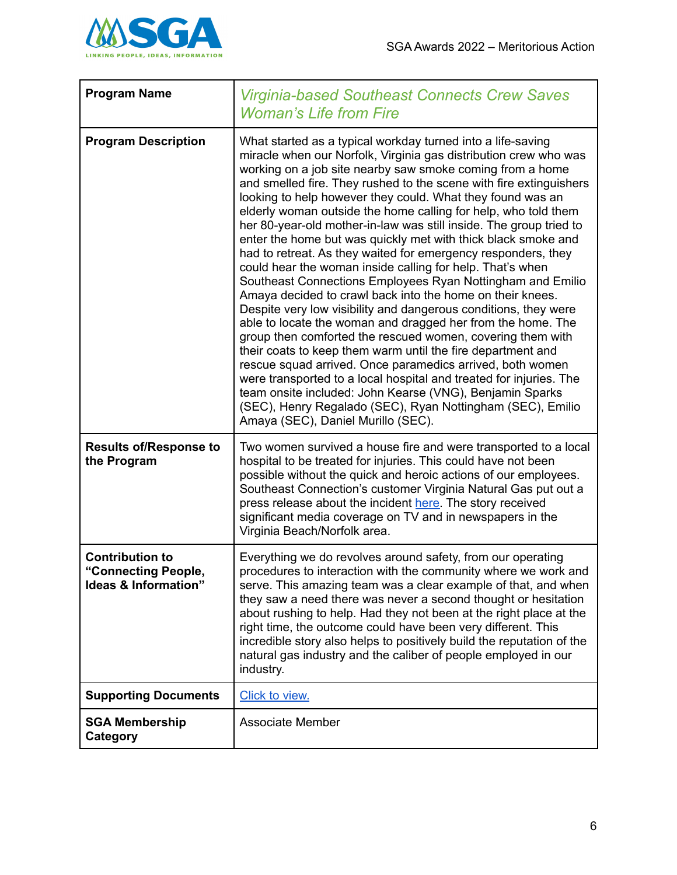

| <b>Program Name</b>                                                              | <b>Virginia-based Southeast Connects Crew Saves</b><br><b>Woman's Life from Fire</b>                                                                                                                                                                                                                                                                                                                                                                                                                                                                                                                                                                                                                                                                                                                                                                                                                                                                                                                                                                                                                                                                                                                                                                                                                                                                                 |
|----------------------------------------------------------------------------------|----------------------------------------------------------------------------------------------------------------------------------------------------------------------------------------------------------------------------------------------------------------------------------------------------------------------------------------------------------------------------------------------------------------------------------------------------------------------------------------------------------------------------------------------------------------------------------------------------------------------------------------------------------------------------------------------------------------------------------------------------------------------------------------------------------------------------------------------------------------------------------------------------------------------------------------------------------------------------------------------------------------------------------------------------------------------------------------------------------------------------------------------------------------------------------------------------------------------------------------------------------------------------------------------------------------------------------------------------------------------|
| <b>Program Description</b>                                                       | What started as a typical workday turned into a life-saving<br>miracle when our Norfolk, Virginia gas distribution crew who was<br>working on a job site nearby saw smoke coming from a home<br>and smelled fire. They rushed to the scene with fire extinguishers<br>looking to help however they could. What they found was an<br>elderly woman outside the home calling for help, who told them<br>her 80-year-old mother-in-law was still inside. The group tried to<br>enter the home but was quickly met with thick black smoke and<br>had to retreat. As they waited for emergency responders, they<br>could hear the woman inside calling for help. That's when<br>Southeast Connections Employees Ryan Nottingham and Emilio<br>Amaya decided to crawl back into the home on their knees.<br>Despite very low visibility and dangerous conditions, they were<br>able to locate the woman and dragged her from the home. The<br>group then comforted the rescued women, covering them with<br>their coats to keep them warm until the fire department and<br>rescue squad arrived. Once paramedics arrived, both women<br>were transported to a local hospital and treated for injuries. The<br>team onsite included: John Kearse (VNG), Benjamin Sparks<br>(SEC), Henry Regalado (SEC), Ryan Nottingham (SEC), Emilio<br>Amaya (SEC), Daniel Murillo (SEC). |
| <b>Results of/Response to</b><br>the Program                                     | Two women survived a house fire and were transported to a local<br>hospital to be treated for injuries. This could have not been<br>possible without the quick and heroic actions of our employees.<br>Southeast Connection's customer Virginia Natural Gas put out a<br>press release about the incident here. The story received<br>significant media coverage on TV and in newspapers in the<br>Virginia Beach/Norfolk area.                                                                                                                                                                                                                                                                                                                                                                                                                                                                                                                                                                                                                                                                                                                                                                                                                                                                                                                                      |
| <b>Contribution to</b><br>"Connecting People,<br><b>Ideas &amp; Information"</b> | Everything we do revolves around safety, from our operating<br>procedures to interaction with the community where we work and<br>serve. This amazing team was a clear example of that, and when<br>they saw a need there was never a second thought or hesitation<br>about rushing to help. Had they not been at the right place at the<br>right time, the outcome could have been very different. This<br>incredible story also helps to positively build the reputation of the<br>natural gas industry and the caliber of people employed in our<br>industry.                                                                                                                                                                                                                                                                                                                                                                                                                                                                                                                                                                                                                                                                                                                                                                                                      |
| <b>Supporting Documents</b>                                                      | Click to view.                                                                                                                                                                                                                                                                                                                                                                                                                                                                                                                                                                                                                                                                                                                                                                                                                                                                                                                                                                                                                                                                                                                                                                                                                                                                                                                                                       |
| <b>SGA Membership</b><br>Category                                                | <b>Associate Member</b>                                                                                                                                                                                                                                                                                                                                                                                                                                                                                                                                                                                                                                                                                                                                                                                                                                                                                                                                                                                                                                                                                                                                                                                                                                                                                                                                              |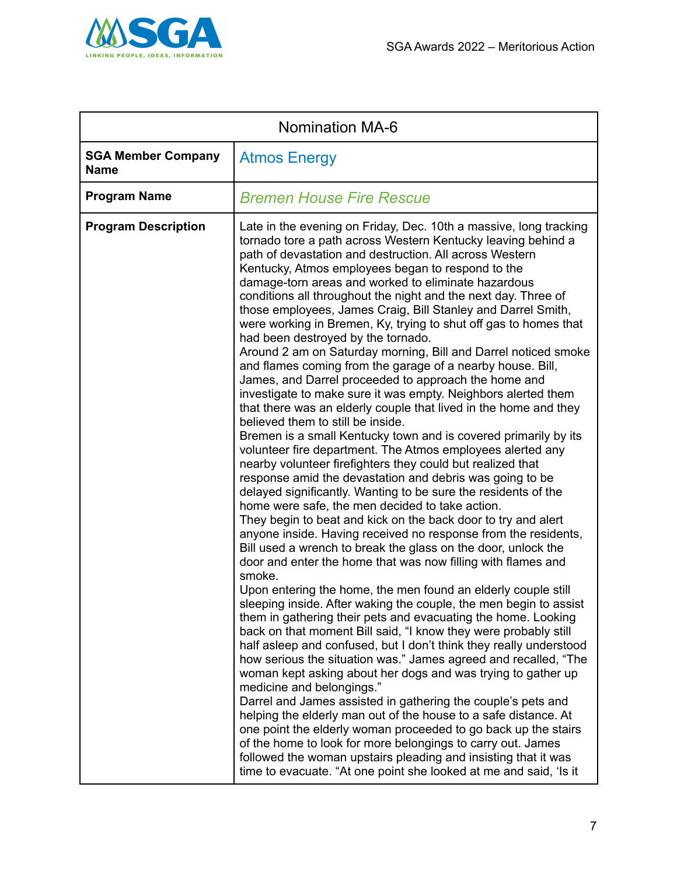

| <b>Nomination MA-6</b>                   |                                                                                                                                                                                                                                                                                                                                                                                                                                                                                                                                                                                                                                                                                                                                                                                                                                                                                                                                                                                                                                                                                                                                                                                                                                                                                                                                                                                                                                                                                                                                                                                                                                                                                                                                                                                                                                                                                                                                                                                                                                                                                                                                                                                                                                                                                                                                                                                                                                                                                                                 |
|------------------------------------------|-----------------------------------------------------------------------------------------------------------------------------------------------------------------------------------------------------------------------------------------------------------------------------------------------------------------------------------------------------------------------------------------------------------------------------------------------------------------------------------------------------------------------------------------------------------------------------------------------------------------------------------------------------------------------------------------------------------------------------------------------------------------------------------------------------------------------------------------------------------------------------------------------------------------------------------------------------------------------------------------------------------------------------------------------------------------------------------------------------------------------------------------------------------------------------------------------------------------------------------------------------------------------------------------------------------------------------------------------------------------------------------------------------------------------------------------------------------------------------------------------------------------------------------------------------------------------------------------------------------------------------------------------------------------------------------------------------------------------------------------------------------------------------------------------------------------------------------------------------------------------------------------------------------------------------------------------------------------------------------------------------------------------------------------------------------------------------------------------------------------------------------------------------------------------------------------------------------------------------------------------------------------------------------------------------------------------------------------------------------------------------------------------------------------------------------------------------------------------------------------------------------------|
| <b>SGA Member Company</b><br><b>Name</b> | <b>Atmos Energy</b>                                                                                                                                                                                                                                                                                                                                                                                                                                                                                                                                                                                                                                                                                                                                                                                                                                                                                                                                                                                                                                                                                                                                                                                                                                                                                                                                                                                                                                                                                                                                                                                                                                                                                                                                                                                                                                                                                                                                                                                                                                                                                                                                                                                                                                                                                                                                                                                                                                                                                             |
| <b>Program Name</b>                      | <b>Bremen House Fire Rescue</b>                                                                                                                                                                                                                                                                                                                                                                                                                                                                                                                                                                                                                                                                                                                                                                                                                                                                                                                                                                                                                                                                                                                                                                                                                                                                                                                                                                                                                                                                                                                                                                                                                                                                                                                                                                                                                                                                                                                                                                                                                                                                                                                                                                                                                                                                                                                                                                                                                                                                                 |
| <b>Program Description</b>               | Late in the evening on Friday, Dec. 10th a massive, long tracking<br>tornado tore a path across Western Kentucky leaving behind a<br>path of devastation and destruction. All across Western<br>Kentucky, Atmos employees began to respond to the<br>damage-torn areas and worked to eliminate hazardous<br>conditions all throughout the night and the next day. Three of<br>those employees, James Craig, Bill Stanley and Darrel Smith,<br>were working in Bremen, Ky, trying to shut off gas to homes that<br>had been destroyed by the tornado.<br>Around 2 am on Saturday morning, Bill and Darrel noticed smoke<br>and flames coming from the garage of a nearby house. Bill,<br>James, and Darrel proceeded to approach the home and<br>investigate to make sure it was empty. Neighbors alerted them<br>that there was an elderly couple that lived in the home and they<br>believed them to still be inside.<br>Bremen is a small Kentucky town and is covered primarily by its<br>volunteer fire department. The Atmos employees alerted any<br>nearby volunteer firefighters they could but realized that<br>response amid the devastation and debris was going to be<br>delayed significantly. Wanting to be sure the residents of the<br>home were safe, the men decided to take action.<br>They begin to beat and kick on the back door to try and alert<br>anyone inside. Having received no response from the residents,<br>Bill used a wrench to break the glass on the door, unlock the<br>door and enter the home that was now filling with flames and<br>smoke.<br>Upon entering the home, the men found an elderly couple still<br>sleeping inside. After waking the couple, the men begin to assist<br>them in gathering their pets and evacuating the home. Looking<br>back on that moment Bill said, "I know they were probably still<br>half asleep and confused, but I don't think they really understood<br>how serious the situation was." James agreed and recalled, "The<br>woman kept asking about her dogs and was trying to gather up<br>medicine and belongings."<br>Darrel and James assisted in gathering the couple's pets and<br>helping the elderly man out of the house to a safe distance. At<br>one point the elderly woman proceeded to go back up the stairs<br>of the home to look for more belongings to carry out. James<br>followed the woman upstairs pleading and insisting that it was<br>time to evacuate. "At one point she looked at me and said, 'Is it |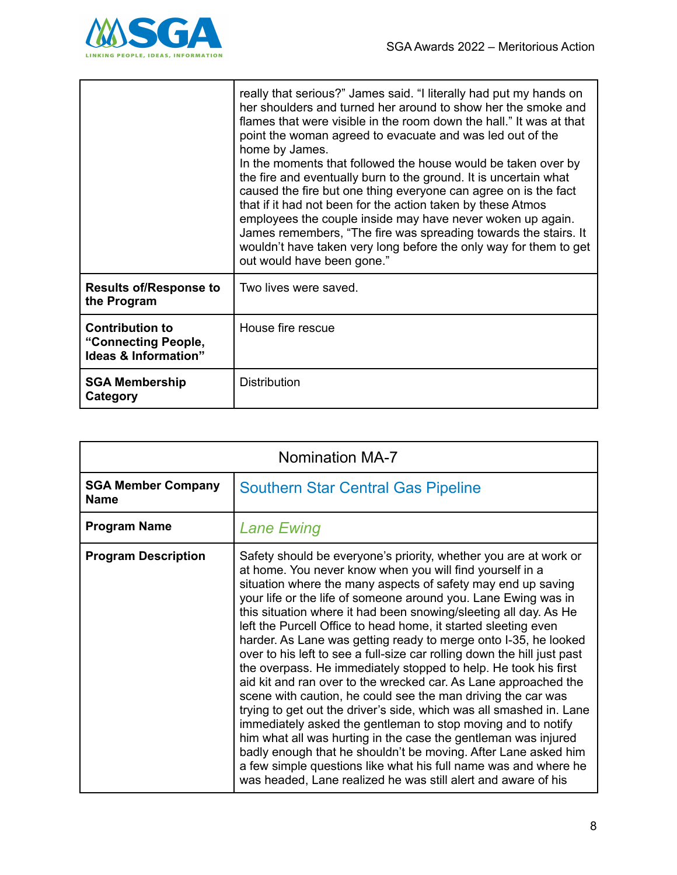

|                                                                                  | really that serious?" James said. "I literally had put my hands on<br>her shoulders and turned her around to show her the smoke and<br>flames that were visible in the room down the hall." It was at that<br>point the woman agreed to evacuate and was led out of the<br>home by James.<br>In the moments that followed the house would be taken over by<br>the fire and eventually burn to the ground. It is uncertain what<br>caused the fire but one thing everyone can agree on is the fact<br>that if it had not been for the action taken by these Atmos<br>employees the couple inside may have never woken up again.<br>James remembers, "The fire was spreading towards the stairs. It<br>wouldn't have taken very long before the only way for them to get<br>out would have been gone." |
|----------------------------------------------------------------------------------|------------------------------------------------------------------------------------------------------------------------------------------------------------------------------------------------------------------------------------------------------------------------------------------------------------------------------------------------------------------------------------------------------------------------------------------------------------------------------------------------------------------------------------------------------------------------------------------------------------------------------------------------------------------------------------------------------------------------------------------------------------------------------------------------------|
| <b>Results of/Response to</b><br>the Program                                     | Two lives were saved.                                                                                                                                                                                                                                                                                                                                                                                                                                                                                                                                                                                                                                                                                                                                                                                |
| <b>Contribution to</b><br>"Connecting People,<br><b>Ideas &amp; Information"</b> | House fire rescue                                                                                                                                                                                                                                                                                                                                                                                                                                                                                                                                                                                                                                                                                                                                                                                    |
| <b>SGA Membership</b><br>Category                                                | <b>Distribution</b>                                                                                                                                                                                                                                                                                                                                                                                                                                                                                                                                                                                                                                                                                                                                                                                  |

| <b>Nomination MA-7</b>                   |                                                                                                                                                                                                                                                                                                                                                                                                                                                                                                                                                                                                                                                                                                                                                                                                                                                                                                                                                                                                                                                                                                                                                                         |  |
|------------------------------------------|-------------------------------------------------------------------------------------------------------------------------------------------------------------------------------------------------------------------------------------------------------------------------------------------------------------------------------------------------------------------------------------------------------------------------------------------------------------------------------------------------------------------------------------------------------------------------------------------------------------------------------------------------------------------------------------------------------------------------------------------------------------------------------------------------------------------------------------------------------------------------------------------------------------------------------------------------------------------------------------------------------------------------------------------------------------------------------------------------------------------------------------------------------------------------|--|
| <b>SGA Member Company</b><br><b>Name</b> | <b>Southern Star Central Gas Pipeline</b>                                                                                                                                                                                                                                                                                                                                                                                                                                                                                                                                                                                                                                                                                                                                                                                                                                                                                                                                                                                                                                                                                                                               |  |
| <b>Program Name</b>                      | <b>Lane Ewing</b>                                                                                                                                                                                                                                                                                                                                                                                                                                                                                                                                                                                                                                                                                                                                                                                                                                                                                                                                                                                                                                                                                                                                                       |  |
| <b>Program Description</b>               | Safety should be everyone's priority, whether you are at work or<br>at home. You never know when you will find yourself in a<br>situation where the many aspects of safety may end up saving<br>your life or the life of someone around you. Lane Ewing was in<br>this situation where it had been snowing/sleeting all day. As He<br>left the Purcell Office to head home, it started sleeting even<br>harder. As Lane was getting ready to merge onto I-35, he looked<br>over to his left to see a full-size car rolling down the hill just past<br>the overpass. He immediately stopped to help. He took his first<br>aid kit and ran over to the wrecked car. As Lane approached the<br>scene with caution, he could see the man driving the car was<br>trying to get out the driver's side, which was all smashed in. Lane<br>immediately asked the gentleman to stop moving and to notify<br>him what all was hurting in the case the gentleman was injured<br>badly enough that he shouldn't be moving. After Lane asked him<br>a few simple questions like what his full name was and where he<br>was headed, Lane realized he was still alert and aware of his |  |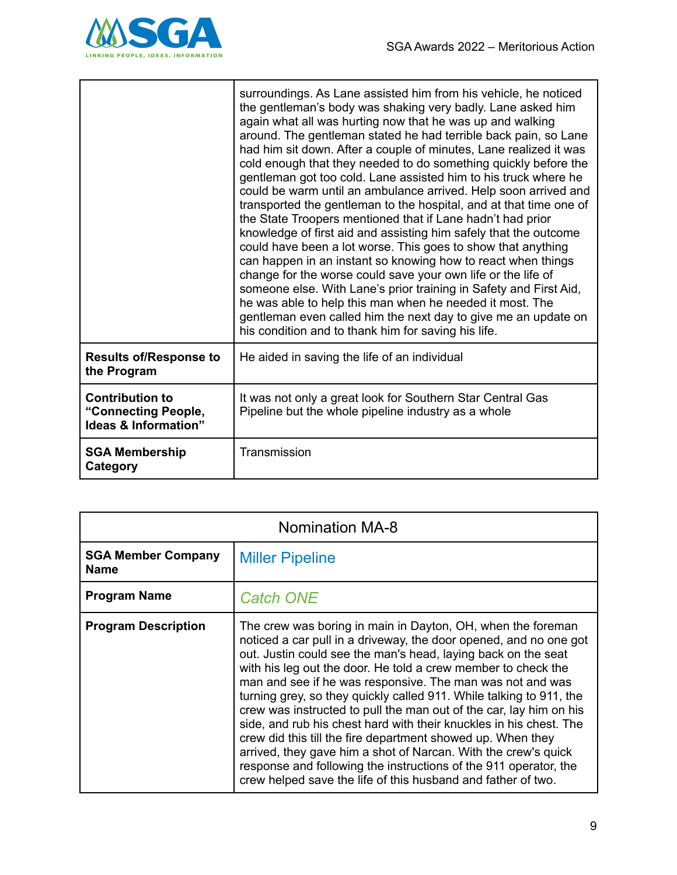

|                                                                       | surroundings. As Lane assisted him from his vehicle, he noticed<br>the gentleman's body was shaking very badly. Lane asked him<br>again what all was hurting now that he was up and walking<br>around. The gentleman stated he had terrible back pain, so Lane<br>had him sit down. After a couple of minutes, Lane realized it was<br>cold enough that they needed to do something quickly before the<br>gentleman got too cold. Lane assisted him to his truck where he<br>could be warm until an ambulance arrived. Help soon arrived and<br>transported the gentleman to the hospital, and at that time one of<br>the State Troopers mentioned that if Lane hadn't had prior<br>knowledge of first aid and assisting him safely that the outcome<br>could have been a lot worse. This goes to show that anything<br>can happen in an instant so knowing how to react when things<br>change for the worse could save your own life or the life of<br>someone else. With Lane's prior training in Safety and First Aid,<br>he was able to help this man when he needed it most. The<br>gentleman even called him the next day to give me an update on<br>his condition and to thank him for saving his life. |
|-----------------------------------------------------------------------|----------------------------------------------------------------------------------------------------------------------------------------------------------------------------------------------------------------------------------------------------------------------------------------------------------------------------------------------------------------------------------------------------------------------------------------------------------------------------------------------------------------------------------------------------------------------------------------------------------------------------------------------------------------------------------------------------------------------------------------------------------------------------------------------------------------------------------------------------------------------------------------------------------------------------------------------------------------------------------------------------------------------------------------------------------------------------------------------------------------------------------------------------------------------------------------------------------------|
| <b>Results of/Response to</b><br>the Program                          | He aided in saving the life of an individual                                                                                                                                                                                                                                                                                                                                                                                                                                                                                                                                                                                                                                                                                                                                                                                                                                                                                                                                                                                                                                                                                                                                                                   |
| <b>Contribution to</b><br>"Connecting People,<br>Ideas & Information" | It was not only a great look for Southern Star Central Gas<br>Pipeline but the whole pipeline industry as a whole                                                                                                                                                                                                                                                                                                                                                                                                                                                                                                                                                                                                                                                                                                                                                                                                                                                                                                                                                                                                                                                                                              |
| <b>SGA Membership</b><br>Category                                     | Transmission                                                                                                                                                                                                                                                                                                                                                                                                                                                                                                                                                                                                                                                                                                                                                                                                                                                                                                                                                                                                                                                                                                                                                                                                   |

| <b>Nomination MA-8</b>                   |                                                                                                                                                                                                                                                                                                                                                                                                                                                                                                                                                                                                                                                                                                                                                                                                                         |  |
|------------------------------------------|-------------------------------------------------------------------------------------------------------------------------------------------------------------------------------------------------------------------------------------------------------------------------------------------------------------------------------------------------------------------------------------------------------------------------------------------------------------------------------------------------------------------------------------------------------------------------------------------------------------------------------------------------------------------------------------------------------------------------------------------------------------------------------------------------------------------------|--|
| <b>SGA Member Company</b><br><b>Name</b> | <b>Miller Pipeline</b>                                                                                                                                                                                                                                                                                                                                                                                                                                                                                                                                                                                                                                                                                                                                                                                                  |  |
| <b>Program Name</b>                      | <b>Catch ONE</b>                                                                                                                                                                                                                                                                                                                                                                                                                                                                                                                                                                                                                                                                                                                                                                                                        |  |
| <b>Program Description</b>               | The crew was boring in main in Dayton, OH, when the foreman<br>noticed a car pull in a driveway, the door opened, and no one got<br>out. Justin could see the man's head, laying back on the seat<br>with his leg out the door. He told a crew member to check the<br>man and see if he was responsive. The man was not and was<br>turning grey, so they quickly called 911. While talking to 911, the<br>crew was instructed to pull the man out of the car, lay him on his<br>side, and rub his chest hard with their knuckles in his chest. The<br>crew did this till the fire department showed up. When they<br>arrived, they gave him a shot of Narcan. With the crew's quick<br>response and following the instructions of the 911 operator, the<br>crew helped save the life of this husband and father of two. |  |